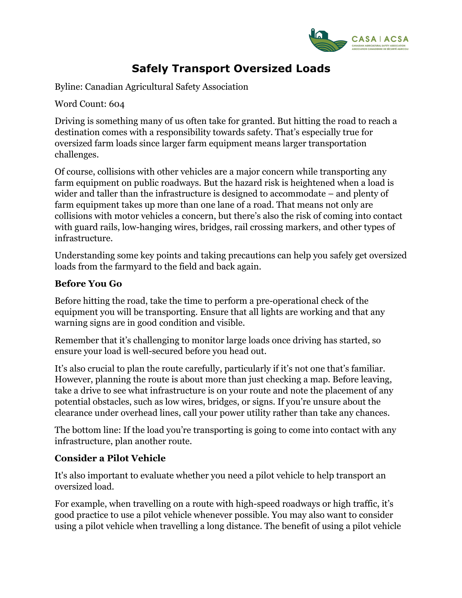

## **Safely Transport Oversized Loads**

Byline: Canadian Agricultural Safety Association

Word Count: 604

Driving is something many of us often take for granted. But hitting the road to reach a destination comes with a responsibility towards safety. That's especially true for oversized farm loads since larger farm equipment means larger transportation challenges.

Of course, collisions with other vehicles are a major concern while transporting any farm equipment on public roadways. But the hazard risk is heightened when a load is wider and taller than the infrastructure is designed to accommodate – and plenty of farm equipment takes up more than one lane of a road. That means not only are collisions with motor vehicles a concern, but there's also the risk of coming into contact with guard rails, low-hanging wires, bridges, rail crossing markers, and other types of infrastructure.

Understanding some key points and taking precautions can help you safely get oversized loads from the farmyard to the field and back again.

## **Before You Go**

Before hitting the road, take the time to perform a pre-operational check of the equipment you will be transporting. Ensure that all lights are working and that any warning signs are in good condition and visible.

Remember that it's challenging to monitor large loads once driving has started, so ensure your load is well-secured before you head out.

It's also crucial to plan the route carefully, particularly if it's not one that's familiar. However, planning the route is about more than just checking a map. Before leaving, take a drive to see what infrastructure is on your route and note the placement of any potential obstacles, such as low wires, bridges, or signs. If you're unsure about the clearance under overhead lines, call your power utility rather than take any chances.

The bottom line: If the load you're transporting is going to come into contact with any infrastructure, plan another route.

## **Consider a Pilot Vehicle**

It's also important to evaluate whether you need a pilot vehicle to help transport an oversized load.

For example, when travelling on a route with high-speed roadways or high traffic, it's good practice to use a pilot vehicle whenever possible. You may also want to consider using a pilot vehicle when travelling a long distance. The benefit of using a pilot vehicle